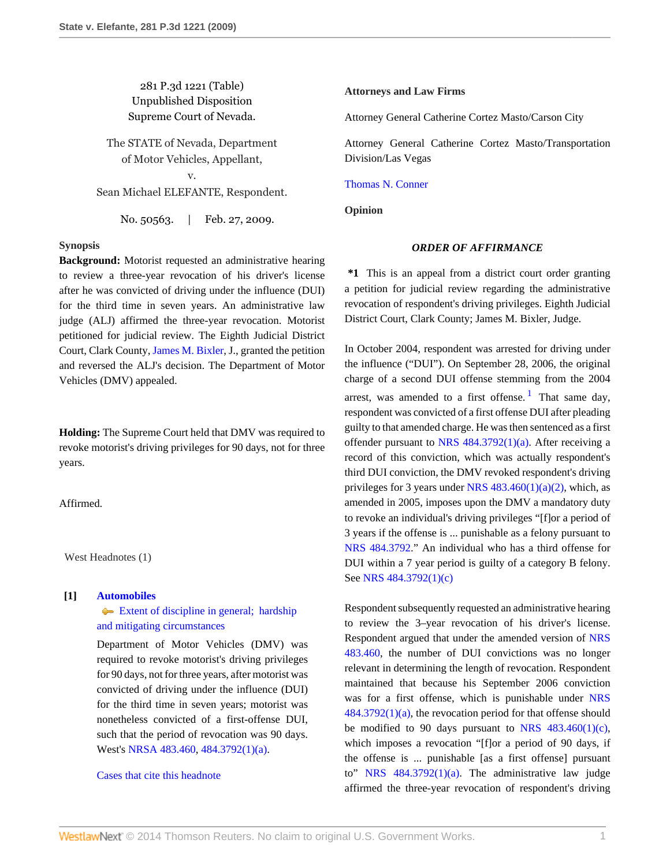# 281 P.3d 1221 (Table) Unpublished Disposition Supreme Court of Nevada.

The STATE of Nevada, Department of Motor Vehicles, Appellant,

v. Sean Michael ELEFANTE, Respondent.

No. 50563. | Feb. 27, 2009.

### **Synopsis**

**Background:** Motorist requested an administrative hearing to review a three-year revocation of his driver's license after he was convicted of driving under the influence (DUI) for the third time in seven years. An administrative law judge (ALJ) affirmed the three-year revocation. Motorist petitioned for judicial review. The Eighth Judicial District Court, Clark County, [James M. Bixler,](http://www.westlaw.com/Link/Document/FullText?findType=h&pubNum=176284&cite=0169491501&originatingDoc=I2e7559c74b9011de8bf6cd8525c41437&refType=RQ&originationContext=document&vr=3.0&rs=cblt1.0&transitionType=DocumentItem&contextData=(sc.Search)) J., granted the petition and reversed the ALJ's decision. The Department of Motor Vehicles (DMV) appealed.

**Holding:** The Supreme Court held that DMV was required to revoke motorist's driving privileges for 90 days, not for three years.

Affirmed.

West Headnotes (1)

### **[1] [Automobiles](http://www.westlaw.com/Browse/Home/KeyNumber/48A/View.html?docGuid=I2e7559c74b9011de8bf6cd8525c41437&originationContext=document&vr=3.0&rs=cblt1.0&transitionType=DocumentItem&contextData=(sc.Search))**

[Extent of discipline in general; hardship](http://www.westlaw.com/Browse/Home/KeyNumber/48Ak144.5/View.html?docGuid=I2e7559c74b9011de8bf6cd8525c41437&originationContext=document&vr=3.0&rs=cblt1.0&transitionType=DocumentItem&contextData=(sc.Search)) [and mitigating circumstances](http://www.westlaw.com/Browse/Home/KeyNumber/48Ak144.5/View.html?docGuid=I2e7559c74b9011de8bf6cd8525c41437&originationContext=document&vr=3.0&rs=cblt1.0&transitionType=DocumentItem&contextData=(sc.Search))

Department of Motor Vehicles (DMV) was required to revoke motorist's driving privileges for 90 days, not for three years, after motorist was convicted of driving under the influence (DUI) for the third time in seven years; motorist was nonetheless convicted of a first-offense DUI, such that the period of revocation was 90 days. West's [NRSA 483.460,](http://www.westlaw.com/Link/Document/FullText?findType=L&pubNum=1000363&cite=NVST483.460&originatingDoc=I2e7559c74b9011de8bf6cd8525c41437&refType=LQ&originationContext=document&vr=3.0&rs=cblt1.0&transitionType=DocumentItem&contextData=(sc.Search)) [484.3792\(1\)\(a\)](http://www.westlaw.com/Link/Document/FullText?findType=L&pubNum=1000363&cite=NVST484.3792&originatingDoc=I2e7559c74b9011de8bf6cd8525c41437&refType=LQ&originationContext=document&vr=3.0&rs=cblt1.0&transitionType=DocumentItem&contextData=(sc.Search)).

### [Cases that cite this headnote](http://www.westlaw.com/Link/RelatedInformation/DocHeadnoteLink?docGuid=I2e7559c74b9011de8bf6cd8525c41437&headnoteId=201891840000120120830210853&originationContext=document&vr=3.0&rs=cblt1.0&transitionType=CitingReferences&contextData=(sc.Search))

#### **Attorneys and Law Firms**

Attorney General Catherine Cortez Masto/Carson City

Attorney General Catherine Cortez Masto/Transportation Division/Las Vegas

#### [Thomas N. Conner](http://www.westlaw.com/Link/Document/FullText?findType=h&pubNum=176284&cite=0277022701&originatingDoc=I2e7559c74b9011de8bf6cd8525c41437&refType=RQ&originationContext=document&vr=3.0&rs=cblt1.0&transitionType=DocumentItem&contextData=(sc.Search))

**Opinion**

## <span id="page-0-0"></span>*ORDER OF AFFIRMANCE*

**\*1** This is an appeal from a district court order granting a petition for judicial review regarding the administrative revocation of respondent's driving privileges. Eighth Judicial District Court, Clark County; James M. Bixler, Judge.

In October 2004, respondent was arrested for driving under the influence ("DUI"). On September 28, 2006, the original charge of a second DUI offense stemming from the 2004 arrest, was amended to a first offense.<sup>[1](#page-1-0)</sup> That same day, respondent was convicted of a first offense DUI after pleading guilty to that amended charge. He was then sentenced as a first offender pursuant to NRS  $484.3792(1)(a)$ . After receiving a record of this conviction, which was actually respondent's third DUI conviction, the DMV revoked respondent's driving privileges for 3 years under NRS  $483.460(1)(a)(2)$ , which, as amended in 2005, imposes upon the DMV a mandatory duty to revoke an individual's driving privileges "[f]or a period of 3 years if the offense is ... punishable as a felony pursuant to [NRS 484.3792](http://www.westlaw.com/Link/Document/FullText?findType=L&pubNum=1000363&cite=NVST484.3792&originatingDoc=I2e7559c74b9011de8bf6cd8525c41437&refType=LQ&originationContext=document&vr=3.0&rs=cblt1.0&transitionType=DocumentItem&contextData=(sc.Search))." An individual who has a third offense for DUI within a 7 year period is guilty of a category B felony. See [NRS 484.3792\(1\)\(c\)](http://www.westlaw.com/Link/Document/FullText?findType=L&pubNum=1000363&cite=NVST484.3792&originatingDoc=I2e7559c74b9011de8bf6cd8525c41437&refType=LQ&originationContext=document&vr=3.0&rs=cblt1.0&transitionType=DocumentItem&contextData=(sc.Search))

Respondent subsequently requested an administrative hearing to review the 3–year revocation of his driver's license. Respondent argued that under the amended version of [NRS](http://www.westlaw.com/Link/Document/FullText?findType=L&pubNum=1000363&cite=NVST483.460&originatingDoc=I2e7559c74b9011de8bf6cd8525c41437&refType=LQ&originationContext=document&vr=3.0&rs=cblt1.0&transitionType=DocumentItem&contextData=(sc.Search)) [483.460,](http://www.westlaw.com/Link/Document/FullText?findType=L&pubNum=1000363&cite=NVST483.460&originatingDoc=I2e7559c74b9011de8bf6cd8525c41437&refType=LQ&originationContext=document&vr=3.0&rs=cblt1.0&transitionType=DocumentItem&contextData=(sc.Search)) the number of DUI convictions was no longer relevant in determining the length of revocation. Respondent maintained that because his September 2006 conviction was for a first offense, which is punishable under [NRS](http://www.westlaw.com/Link/Document/FullText?findType=L&pubNum=1000363&cite=NVST484.3792&originatingDoc=I2e7559c74b9011de8bf6cd8525c41437&refType=LQ&originationContext=document&vr=3.0&rs=cblt1.0&transitionType=DocumentItem&contextData=(sc.Search)) [484.3792\(1\)\(a\)](http://www.westlaw.com/Link/Document/FullText?findType=L&pubNum=1000363&cite=NVST484.3792&originatingDoc=I2e7559c74b9011de8bf6cd8525c41437&refType=LQ&originationContext=document&vr=3.0&rs=cblt1.0&transitionType=DocumentItem&contextData=(sc.Search)), the revocation period for that offense should be modified to 90 days pursuant to NRS  $483.460(1)(c)$ , which imposes a revocation "[f]or a period of 90 days, if the offense is ... punishable [as a first offense] pursuant to" NRS  $484.3792(1)(a)$ . The administrative law judge affirmed the three-year revocation of respondent's driving